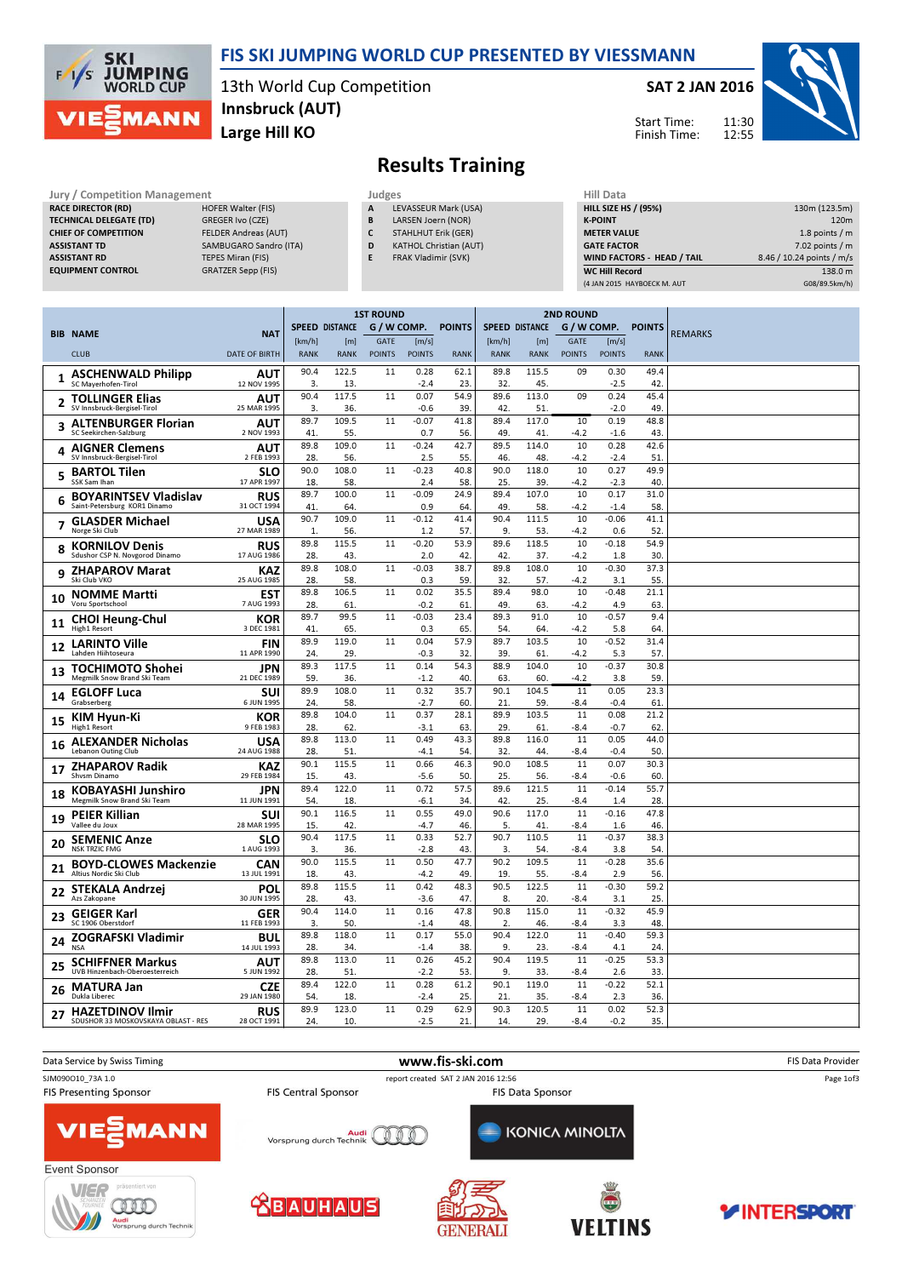

### FIS SKI JUMPING WORLD CUP PRESENTED BY VIESSMANN

13th World Cup Competition Large Hill KO Innsbruck (AUT)

#### SAT 2 JAN 2016

Start Time: Finish Time:



# Results Training

| Jury / Competition Management  |                             | Judges |                               | <b>Hill Data</b>   |
|--------------------------------|-----------------------------|--------|-------------------------------|--------------------|
| <b>RACE DIRECTOR (RD)</b>      | <b>HOFER Walter (FIS)</b>   | A      | LEVASSEUR Mark (USA)          | <b>HILL SIZE H</b> |
| <b>TECHNICAL DELEGATE (TD)</b> | GREGER Ivo (CZE)            | B      | LARSEN Joern (NOR)            | <b>K-POINT</b>     |
| <b>CHIEF OF COMPETITION</b>    | <b>FELDER Andreas (AUT)</b> |        | <b>STAHLHUT Erik (GER)</b>    | <b>METER VAI</b>   |
| <b>ASSISTANT TD</b>            | SAMBUGARO Sandro (ITA)      | D      | <b>KATHOL Christian (AUT)</b> | <b>GATE FACT</b>   |
| <b>ASSISTANT RD</b>            | TEPES Miran (FIS)           |        | FRAK Vladimir (SVK)           | <b>WIND FACT</b>   |
| <b>EQUIPMENT CONTROL</b>       | <b>GRATZER Sepp (FIS)</b>   |        |                               | <b>WC Hill Reg</b> |

- A LEVASSEUR Mark (USA) B LARSEN Joern (NOR)
- C STAHLHUT Erik (GER) D KATHOL Christian (AUT)
- E FRAK Vladimir (SVK)
	-

| HIII Data                   |                           |
|-----------------------------|---------------------------|
| <b>HILL SIZE HS / (95%)</b> | 130m (123.5m)             |
| <b>K-POINT</b>              | 120 <sub>m</sub>          |
| <b>METER VALUE</b>          | 1.8 points $/m$           |
| <b>GATE FACTOR</b>          | $7.02$ points / m         |
| WIND FACTORS - HEAD / TAIL  | 8.46 / 10.24 points / m/s |
| <b>WC Hill Record</b>       | 138.0 m                   |
| (4 JAN 2015 HAYBOECK M. AUT | G08/89.5km/h)             |

| <b>SPEED DISTANCE</b><br>G / W COMP.<br><b>POINTS</b><br><b>SPEED DISTANCE</b><br>G / W COMP.<br><b>POINTS</b><br><b>BIB NAME</b><br><b>REMARKS</b><br><b>NAT</b><br>[km/h]<br><b>GATE</b><br>[m/s]<br>[km/h]<br><b>GATE</b><br>[m/s]<br>[m]<br>[m]<br><b>CLUB</b><br><b>RANK</b><br><b>POINTS</b><br><b>RANK</b><br><b>DATE OF BIRTH</b><br><b>RANK</b><br><b>POINTS</b><br><b>RANK</b><br><b>RANK</b><br><b>POINTS</b><br><b>POINTS</b><br><b>RANK</b><br>115.5<br>90.4<br>122.5<br>11<br>0.28<br>62.1<br>89.8<br>09<br>0.30<br>49.4<br><b>ASCHENWALD Philipp</b><br><b>AUT</b><br>SC Mayerhofen-Tirol<br>12 NOV 1995<br>3.<br>45.<br>$-2.5$<br>42<br>13<br>$-2.4$<br>23<br>32.<br>45.4<br>90.4<br>117.5<br>11<br>0.07<br>54.9<br>89.6<br>113.0<br>09<br>0.24<br><b>TOLLINGER Elias</b><br>AUT<br>2<br>SV Innsbruck-Bergisel-Tirol<br>25 MAR 1995<br>3.<br>39<br>49<br>36.<br>$-0.6$<br>42.<br>51.<br>$-2.0$<br>109.5<br>89.7<br>11<br>$-0.07$<br>41.8<br>89.4<br>117.0<br>10<br>0.19<br>48.8<br><b>AUT</b><br><b>ALTENBURGER Florian</b><br>3<br>SC Seekirchen-Salzburg<br>2 NOV 1993<br>41<br>55.<br>0.7<br>49.<br>41<br>$-4.2$<br>43<br>56<br>$-1.6$<br>89.8<br>109.0<br>11<br>$-0.24$<br>42.7<br>89.5<br>114.0<br>10<br>0.28<br>42.6<br><b>AIGNER Clemens</b><br>AUT<br>4<br>SV Innsbruck-Bergisel-Tirol<br>28.<br>55.<br>2 FEB 1993<br>56.<br>2.5<br>46.<br>48.<br>$-4.2$<br>$-2.4$<br>51<br>90.0<br>108.0<br>11<br>$-0.23$<br>40.8<br>90.0<br>118.0<br>10<br>0.27<br>49.9<br><b>BARTOL Tilen</b><br>SLO<br>5<br>SSK Sam Ihan<br>17 APR 1997<br>18.<br>58.<br>58.<br>25.<br>39.<br>$-4.2$<br>$-2.3$<br>40<br>2.4<br>89.7<br>100.0<br>11<br>$-0.09$<br>24.9<br>89.4<br>107.0<br>10<br>0.17<br>31.0<br><b>BOYARINTSEV Vladislav</b><br><b>RUS</b><br>6<br>Saint-Petersburg KOR1 Dinamo<br>31 OCT 1994<br>41<br>0.9<br>49<br>$-4.2$<br>58<br>64<br>64<br>58.<br>$-1.4$<br>90.7<br>109.0<br>$-0.12$<br>41.4<br>90.4<br>111.5<br>10<br>$-0.06$<br>41.1<br>11<br><b>GLASDER Michael</b><br>USA<br>7<br>Norge Ski Club<br>27 MAR 1989<br>9.<br>1.<br>56.<br>1.2<br>57.<br>53.<br>$-4.2$<br>0.6<br>52<br>115.5<br>$-0.20$<br>53.9<br>89.6<br>118.5<br>10<br>$-0.18$<br>54.9<br>89.8<br>11<br><b>KORNILOV Denis</b><br><b>RUS</b><br>8<br>Sdushor CSP N. Novgorod Dinamo<br>17 AUG 1986<br>28.<br>30<br>43.<br>2.0<br>42<br>42.<br>37.<br>$-4.2$<br>1.8<br>108.0<br>$-0.03$<br>38.7<br>108.0<br>10<br>$-0.30$<br>89.8<br>11<br>89.8<br>37.3<br><b>ZHAPAROV Marat</b><br>KAZ<br>9<br>Ski Club VKO<br>28.<br>58.<br>0.3<br>59<br>32.<br>57.<br>$-4.2$<br>3.1<br>55<br>25 AUG 1985<br>106.5<br>0.02<br>98.0<br>$-0.48$<br>89.8<br>11<br>35.5<br>89.4<br>10<br>21.1<br><b>EST</b><br><b>NOMME Martti</b><br>10<br>28.<br>61<br>$-0.2$<br>61<br>49.<br>$-4.2$<br>4.9<br>63<br>Voru Sportschool<br>7 AUG 1993<br>63.<br>89.7<br>99.5<br>$-0.03$<br>91.0<br>10<br>$-0.57$<br>11<br>23.4<br>89.3<br>9.4<br><b>CHOI Heung-Chul</b><br>KOR<br>11<br>41<br>65.<br>0.3<br>65<br>$-4.2$<br>High1 Resort<br>3 DEC 1981<br>54.<br>64.<br>5.8<br>64<br>119.0<br>89.9<br>11<br>0.04<br>57.9<br>89.7<br>103.5<br>10<br>$-0.52$<br>31.4<br><b>FIN</b><br><b>LARINTO Ville</b><br>12<br>11 APR 1990<br>29.<br>5.3<br>57<br>Lahden Hiihtoseura<br>24.<br>$-0.3$<br>32<br>39<br>61.<br>$-4.2$<br>117.5<br>89.3<br>11<br>0.14<br>54.3<br>88.9<br>104.0<br>10<br>$-0.37$<br>30.8<br><b>JPN</b><br><b>TOCHIMOTO Shohei</b><br>13<br>40.<br>Megmilk Snow Brand Ski Team<br>59.<br>36.<br>$-1.2$<br>63.<br>60.<br>$-4.2$<br>3.8<br>59<br>21 DEC 1989<br>89.9<br>108.0<br>35.7<br>90.1<br>23.3<br>0.32<br>104.5<br>11<br>0.05<br>11<br><b>SUI</b><br><b>EGLOFF Luca</b><br>14<br>Grabserberg<br>6 JUN 1995<br>24.<br>58.<br>$-2.7$<br>60<br>21<br>59.<br>-8.4<br>$-0.4$<br>61<br>104.0<br>89.8<br>11<br>0.37<br>28.1<br>89.9<br>103.5<br>11<br>0.08<br>21.2<br>KIM Hyun-Ki<br>KOR<br>15<br>High1 Resort<br>9 FEB 1983<br>28.<br>62<br>$-3.1$<br>63<br>29<br>61.<br>-8.4<br>$-0.7$<br>62<br>89.8<br>113.0<br>0.49<br>43.3<br>89.8<br>116.0<br>11<br>0.05<br>44.0<br>11<br><b>ALEXANDER Nicholas</b><br>USA<br>16<br><b>Lebanon Outing Club</b><br>24 AUG 1988<br>28.<br>51<br>$-4.1$<br>54.<br>32.<br>44.<br>-8.4<br>$-0.4$<br>50<br>90.1<br>115.5<br>0.66<br>90.0<br>108.5<br>11<br>0.07<br>11<br>46.3<br>30.3<br><b>ZHAPAROV Radik</b><br><b>KAZ</b><br>17<br>Shysm Dinamo<br>29 FEB 1984<br>15.<br>43.<br>-5.6<br>50.<br>25.<br>56.<br>-8.4<br>$-0.6$<br>60<br>122.0<br>55.7<br>89.4<br>11<br>0.72<br>57.5<br>89.6<br>121.5<br>11<br>$-0.14$<br><b>JPN</b><br><b>KOBAYASHI Junshiro</b><br>18<br>Megmilk Snow Brand Ski Team<br>11 JUN 1991<br>54.<br>18.<br>34<br>42.<br>25.<br>28<br>$-6.1$<br>-8.4<br>1.4<br>90.1<br>116.5<br>11<br>0.55<br>49.0<br>90.6<br>117.0<br>11<br>$-0.16$<br>47.8<br>SUI<br><b>PEIER Killian</b><br>19<br>28 MAR 1995<br>15.<br>42.<br>46.<br>41.<br>$-8.4$<br>Vallee du Joux<br>$-4.7$<br>.5<br>1.6<br>46<br>90.4<br>117.5<br>11<br>0.33<br>52.7<br>90.7<br>110.5<br>11<br>$-0.37$<br>38.3<br><b>SEMENIC Anze</b><br>SLO<br>20<br>1 AUG 1993<br>3.<br>36.<br>43.<br>54.<br>54<br><b>NSK TRZIC FMG</b><br>$-2.8$<br>3.<br>$-8.4$<br>3.8<br>90.0<br>115.5<br>11<br>0.50<br>47.7<br>90.2<br>109.5<br>11<br>$-0.28$<br>35.6<br><b>BOYD-CLOWES Mackenzie</b><br>CAN<br>21<br>Altius Nordic Ski Club<br>43.<br>19.<br>56<br>13 JUL 1991<br>18.<br>$-4.2$<br>49.<br>55.<br>$-8.4$<br>2.9<br>89.8<br>115.5<br>90.5<br>122.5<br>59.2<br>11<br>0.42<br>48.3<br>11<br>$-0.30$<br>POL<br><b>STEKALA Andrzej</b><br>22<br>28.<br>43.<br>47.<br>20.<br>25<br>Azs Zakopane<br>30 JUN 1995<br>$-3.6$<br>8.<br>$-8.4$<br>3.1<br>90.4<br>114.0<br>0.16<br>47.8<br>90.8<br>115.0<br>11<br>$-0.32$<br>45.9<br>11<br><b>GEIGER Karl</b><br><b>GER</b><br>23<br>SC 1906 Oberstdorf<br>11 FEB 1993<br>3.<br>50.<br>48.<br>46.<br>$-8.4$<br>48<br>$-1.4$<br>2.<br>3.3<br>89.8<br>118.0<br>11<br>0.17<br>55.0<br>90.4<br>122.0<br>11<br>$-0.40$<br>59.3<br><b>BUL</b><br><b>ZOGRAFSKI Vladimir</b><br>24<br><b>NSA</b><br>14 JUL 1993<br>28.<br>34.<br>$-1.4$<br>38.<br>9.<br>23.<br>$-8.4$<br>4.1<br>24<br>89.8<br>113.0<br>0.26<br>45.2<br>90.4<br>119.5<br>11<br>$-0.25$<br>53.3<br>11<br><b>SCHIFFNER Markus</b><br><b>AUT</b><br>25<br>UVB Hinzenbach-Oberoesterreich<br>5 JUN 1992<br>28.<br>51<br>53.<br>9.<br>33<br>$-2.2$<br>33.<br>-8.4<br>2.6<br>122.0<br>0.28<br>90.1<br>119.0<br>$-0.22$<br>52.1<br>89.4<br>11<br>61.2<br>11<br><b>CZE</b><br><b>MATURA Jan</b><br>26<br>29 JAN 1980<br>Dukla Liberec<br>54.<br>18.<br>$-2.4$<br>25<br>21<br>35.<br>2.3<br>36<br>-8.4 |  |            | <b>1ST ROUND</b> |       |    |      |      |      |       | <b>2ND ROUND</b> |      |      |  |
|------------------------------------------------------------------------------------------------------------------------------------------------------------------------------------------------------------------------------------------------------------------------------------------------------------------------------------------------------------------------------------------------------------------------------------------------------------------------------------------------------------------------------------------------------------------------------------------------------------------------------------------------------------------------------------------------------------------------------------------------------------------------------------------------------------------------------------------------------------------------------------------------------------------------------------------------------------------------------------------------------------------------------------------------------------------------------------------------------------------------------------------------------------------------------------------------------------------------------------------------------------------------------------------------------------------------------------------------------------------------------------------------------------------------------------------------------------------------------------------------------------------------------------------------------------------------------------------------------------------------------------------------------------------------------------------------------------------------------------------------------------------------------------------------------------------------------------------------------------------------------------------------------------------------------------------------------------------------------------------------------------------------------------------------------------------------------------------------------------------------------------------------------------------------------------------------------------------------------------------------------------------------------------------------------------------------------------------------------------------------------------------------------------------------------------------------------------------------------------------------------------------------------------------------------------------------------------------------------------------------------------------------------------------------------------------------------------------------------------------------------------------------------------------------------------------------------------------------------------------------------------------------------------------------------------------------------------------------------------------------------------------------------------------------------------------------------------------------------------------------------------------------------------------------------------------------------------------------------------------------------------------------------------------------------------------------------------------------------------------------------------------------------------------------------------------------------------------------------------------------------------------------------------------------------------------------------------------------------------------------------------------------------------------------------------------------------------------------------------------------------------------------------------------------------------------------------------------------------------------------------------------------------------------------------------------------------------------------------------------------------------------------------------------------------------------------------------------------------------------------------------------------------------------------------------------------------------------------------------------------------------------------------------------------------------------------------------------------------------------------------------------------------------------------------------------------------------------------------------------------------------------------------------------------------------------------------------------------------------------------------------------------------------------------------------------------------------------------------------------------------------------------------------------------------------------------------------------------------------------------------------------------------------------------------------------------------------------------------------------------------------------------------------------------------------------------------------------------------------------------------------------------------------------------------------------------------------------------------------------------------------------------------------------------------------------------------------------------------------------------------------------------------------------------------------------------------------------------------------------------------------------------------------------------------------------------------------------------------------------------------------------------------------------------------------------------------------------------------------------------------------------------------------------------------------------------------------------------------------------------------------------------------------------------------------------------------------------------------------------------------------------------------------------------------------------------------------------------------------------------------------------------------------------------------------------------------------------------------------------------------------------------------------------------------------------------------------------------------------------------------------------------------------------------------------------------------------------------------------------------------------------------------------------------------------|--|------------|------------------|-------|----|------|------|------|-------|------------------|------|------|--|
|                                                                                                                                                                                                                                                                                                                                                                                                                                                                                                                                                                                                                                                                                                                                                                                                                                                                                                                                                                                                                                                                                                                                                                                                                                                                                                                                                                                                                                                                                                                                                                                                                                                                                                                                                                                                                                                                                                                                                                                                                                                                                                                                                                                                                                                                                                                                                                                                                                                                                                                                                                                                                                                                                                                                                                                                                                                                                                                                                                                                                                                                                                                                                                                                                                                                                                                                                                                                                                                                                                                                                                                                                                                                                                                                                                                                                                                                                                                                                                                                                                                                                                                                                                                                                                                                                                                                                                                                                                                                                                                                                                                                                                                                                                                                                                                                                                                                                                                                                                                                                                                                                                                                                                                                                                                                                                                                                                                                                                                                                                                                                                                                                                                                                                                                                                                                                                                                                                                                                                                                                                                                                                                                                                                                                                                                                                                                                                                                                                                                                                                                                            |  |            |                  |       |    |      |      |      |       |                  |      |      |  |
|                                                                                                                                                                                                                                                                                                                                                                                                                                                                                                                                                                                                                                                                                                                                                                                                                                                                                                                                                                                                                                                                                                                                                                                                                                                                                                                                                                                                                                                                                                                                                                                                                                                                                                                                                                                                                                                                                                                                                                                                                                                                                                                                                                                                                                                                                                                                                                                                                                                                                                                                                                                                                                                                                                                                                                                                                                                                                                                                                                                                                                                                                                                                                                                                                                                                                                                                                                                                                                                                                                                                                                                                                                                                                                                                                                                                                                                                                                                                                                                                                                                                                                                                                                                                                                                                                                                                                                                                                                                                                                                                                                                                                                                                                                                                                                                                                                                                                                                                                                                                                                                                                                                                                                                                                                                                                                                                                                                                                                                                                                                                                                                                                                                                                                                                                                                                                                                                                                                                                                                                                                                                                                                                                                                                                                                                                                                                                                                                                                                                                                                                                            |  |            |                  |       |    |      |      |      |       |                  |      |      |  |
|                                                                                                                                                                                                                                                                                                                                                                                                                                                                                                                                                                                                                                                                                                                                                                                                                                                                                                                                                                                                                                                                                                                                                                                                                                                                                                                                                                                                                                                                                                                                                                                                                                                                                                                                                                                                                                                                                                                                                                                                                                                                                                                                                                                                                                                                                                                                                                                                                                                                                                                                                                                                                                                                                                                                                                                                                                                                                                                                                                                                                                                                                                                                                                                                                                                                                                                                                                                                                                                                                                                                                                                                                                                                                                                                                                                                                                                                                                                                                                                                                                                                                                                                                                                                                                                                                                                                                                                                                                                                                                                                                                                                                                                                                                                                                                                                                                                                                                                                                                                                                                                                                                                                                                                                                                                                                                                                                                                                                                                                                                                                                                                                                                                                                                                                                                                                                                                                                                                                                                                                                                                                                                                                                                                                                                                                                                                                                                                                                                                                                                                                                            |  |            |                  |       |    |      |      |      |       |                  |      |      |  |
|                                                                                                                                                                                                                                                                                                                                                                                                                                                                                                                                                                                                                                                                                                                                                                                                                                                                                                                                                                                                                                                                                                                                                                                                                                                                                                                                                                                                                                                                                                                                                                                                                                                                                                                                                                                                                                                                                                                                                                                                                                                                                                                                                                                                                                                                                                                                                                                                                                                                                                                                                                                                                                                                                                                                                                                                                                                                                                                                                                                                                                                                                                                                                                                                                                                                                                                                                                                                                                                                                                                                                                                                                                                                                                                                                                                                                                                                                                                                                                                                                                                                                                                                                                                                                                                                                                                                                                                                                                                                                                                                                                                                                                                                                                                                                                                                                                                                                                                                                                                                                                                                                                                                                                                                                                                                                                                                                                                                                                                                                                                                                                                                                                                                                                                                                                                                                                                                                                                                                                                                                                                                                                                                                                                                                                                                                                                                                                                                                                                                                                                                                            |  |            |                  |       |    |      |      |      |       |                  |      |      |  |
|                                                                                                                                                                                                                                                                                                                                                                                                                                                                                                                                                                                                                                                                                                                                                                                                                                                                                                                                                                                                                                                                                                                                                                                                                                                                                                                                                                                                                                                                                                                                                                                                                                                                                                                                                                                                                                                                                                                                                                                                                                                                                                                                                                                                                                                                                                                                                                                                                                                                                                                                                                                                                                                                                                                                                                                                                                                                                                                                                                                                                                                                                                                                                                                                                                                                                                                                                                                                                                                                                                                                                                                                                                                                                                                                                                                                                                                                                                                                                                                                                                                                                                                                                                                                                                                                                                                                                                                                                                                                                                                                                                                                                                                                                                                                                                                                                                                                                                                                                                                                                                                                                                                                                                                                                                                                                                                                                                                                                                                                                                                                                                                                                                                                                                                                                                                                                                                                                                                                                                                                                                                                                                                                                                                                                                                                                                                                                                                                                                                                                                                                                            |  |            |                  |       |    |      |      |      |       |                  |      |      |  |
|                                                                                                                                                                                                                                                                                                                                                                                                                                                                                                                                                                                                                                                                                                                                                                                                                                                                                                                                                                                                                                                                                                                                                                                                                                                                                                                                                                                                                                                                                                                                                                                                                                                                                                                                                                                                                                                                                                                                                                                                                                                                                                                                                                                                                                                                                                                                                                                                                                                                                                                                                                                                                                                                                                                                                                                                                                                                                                                                                                                                                                                                                                                                                                                                                                                                                                                                                                                                                                                                                                                                                                                                                                                                                                                                                                                                                                                                                                                                                                                                                                                                                                                                                                                                                                                                                                                                                                                                                                                                                                                                                                                                                                                                                                                                                                                                                                                                                                                                                                                                                                                                                                                                                                                                                                                                                                                                                                                                                                                                                                                                                                                                                                                                                                                                                                                                                                                                                                                                                                                                                                                                                                                                                                                                                                                                                                                                                                                                                                                                                                                                                            |  |            |                  |       |    |      |      |      |       |                  |      |      |  |
|                                                                                                                                                                                                                                                                                                                                                                                                                                                                                                                                                                                                                                                                                                                                                                                                                                                                                                                                                                                                                                                                                                                                                                                                                                                                                                                                                                                                                                                                                                                                                                                                                                                                                                                                                                                                                                                                                                                                                                                                                                                                                                                                                                                                                                                                                                                                                                                                                                                                                                                                                                                                                                                                                                                                                                                                                                                                                                                                                                                                                                                                                                                                                                                                                                                                                                                                                                                                                                                                                                                                                                                                                                                                                                                                                                                                                                                                                                                                                                                                                                                                                                                                                                                                                                                                                                                                                                                                                                                                                                                                                                                                                                                                                                                                                                                                                                                                                                                                                                                                                                                                                                                                                                                                                                                                                                                                                                                                                                                                                                                                                                                                                                                                                                                                                                                                                                                                                                                                                                                                                                                                                                                                                                                                                                                                                                                                                                                                                                                                                                                                                            |  |            |                  |       |    |      |      |      |       |                  |      |      |  |
|                                                                                                                                                                                                                                                                                                                                                                                                                                                                                                                                                                                                                                                                                                                                                                                                                                                                                                                                                                                                                                                                                                                                                                                                                                                                                                                                                                                                                                                                                                                                                                                                                                                                                                                                                                                                                                                                                                                                                                                                                                                                                                                                                                                                                                                                                                                                                                                                                                                                                                                                                                                                                                                                                                                                                                                                                                                                                                                                                                                                                                                                                                                                                                                                                                                                                                                                                                                                                                                                                                                                                                                                                                                                                                                                                                                                                                                                                                                                                                                                                                                                                                                                                                                                                                                                                                                                                                                                                                                                                                                                                                                                                                                                                                                                                                                                                                                                                                                                                                                                                                                                                                                                                                                                                                                                                                                                                                                                                                                                                                                                                                                                                                                                                                                                                                                                                                                                                                                                                                                                                                                                                                                                                                                                                                                                                                                                                                                                                                                                                                                                                            |  |            |                  |       |    |      |      |      |       |                  |      |      |  |
|                                                                                                                                                                                                                                                                                                                                                                                                                                                                                                                                                                                                                                                                                                                                                                                                                                                                                                                                                                                                                                                                                                                                                                                                                                                                                                                                                                                                                                                                                                                                                                                                                                                                                                                                                                                                                                                                                                                                                                                                                                                                                                                                                                                                                                                                                                                                                                                                                                                                                                                                                                                                                                                                                                                                                                                                                                                                                                                                                                                                                                                                                                                                                                                                                                                                                                                                                                                                                                                                                                                                                                                                                                                                                                                                                                                                                                                                                                                                                                                                                                                                                                                                                                                                                                                                                                                                                                                                                                                                                                                                                                                                                                                                                                                                                                                                                                                                                                                                                                                                                                                                                                                                                                                                                                                                                                                                                                                                                                                                                                                                                                                                                                                                                                                                                                                                                                                                                                                                                                                                                                                                                                                                                                                                                                                                                                                                                                                                                                                                                                                                                            |  |            |                  |       |    |      |      |      |       |                  |      |      |  |
|                                                                                                                                                                                                                                                                                                                                                                                                                                                                                                                                                                                                                                                                                                                                                                                                                                                                                                                                                                                                                                                                                                                                                                                                                                                                                                                                                                                                                                                                                                                                                                                                                                                                                                                                                                                                                                                                                                                                                                                                                                                                                                                                                                                                                                                                                                                                                                                                                                                                                                                                                                                                                                                                                                                                                                                                                                                                                                                                                                                                                                                                                                                                                                                                                                                                                                                                                                                                                                                                                                                                                                                                                                                                                                                                                                                                                                                                                                                                                                                                                                                                                                                                                                                                                                                                                                                                                                                                                                                                                                                                                                                                                                                                                                                                                                                                                                                                                                                                                                                                                                                                                                                                                                                                                                                                                                                                                                                                                                                                                                                                                                                                                                                                                                                                                                                                                                                                                                                                                                                                                                                                                                                                                                                                                                                                                                                                                                                                                                                                                                                                                            |  |            |                  |       |    |      |      |      |       |                  |      |      |  |
|                                                                                                                                                                                                                                                                                                                                                                                                                                                                                                                                                                                                                                                                                                                                                                                                                                                                                                                                                                                                                                                                                                                                                                                                                                                                                                                                                                                                                                                                                                                                                                                                                                                                                                                                                                                                                                                                                                                                                                                                                                                                                                                                                                                                                                                                                                                                                                                                                                                                                                                                                                                                                                                                                                                                                                                                                                                                                                                                                                                                                                                                                                                                                                                                                                                                                                                                                                                                                                                                                                                                                                                                                                                                                                                                                                                                                                                                                                                                                                                                                                                                                                                                                                                                                                                                                                                                                                                                                                                                                                                                                                                                                                                                                                                                                                                                                                                                                                                                                                                                                                                                                                                                                                                                                                                                                                                                                                                                                                                                                                                                                                                                                                                                                                                                                                                                                                                                                                                                                                                                                                                                                                                                                                                                                                                                                                                                                                                                                                                                                                                                                            |  |            |                  |       |    |      |      |      |       |                  |      |      |  |
|                                                                                                                                                                                                                                                                                                                                                                                                                                                                                                                                                                                                                                                                                                                                                                                                                                                                                                                                                                                                                                                                                                                                                                                                                                                                                                                                                                                                                                                                                                                                                                                                                                                                                                                                                                                                                                                                                                                                                                                                                                                                                                                                                                                                                                                                                                                                                                                                                                                                                                                                                                                                                                                                                                                                                                                                                                                                                                                                                                                                                                                                                                                                                                                                                                                                                                                                                                                                                                                                                                                                                                                                                                                                                                                                                                                                                                                                                                                                                                                                                                                                                                                                                                                                                                                                                                                                                                                                                                                                                                                                                                                                                                                                                                                                                                                                                                                                                                                                                                                                                                                                                                                                                                                                                                                                                                                                                                                                                                                                                                                                                                                                                                                                                                                                                                                                                                                                                                                                                                                                                                                                                                                                                                                                                                                                                                                                                                                                                                                                                                                                                            |  |            |                  |       |    |      |      |      |       |                  |      |      |  |
|                                                                                                                                                                                                                                                                                                                                                                                                                                                                                                                                                                                                                                                                                                                                                                                                                                                                                                                                                                                                                                                                                                                                                                                                                                                                                                                                                                                                                                                                                                                                                                                                                                                                                                                                                                                                                                                                                                                                                                                                                                                                                                                                                                                                                                                                                                                                                                                                                                                                                                                                                                                                                                                                                                                                                                                                                                                                                                                                                                                                                                                                                                                                                                                                                                                                                                                                                                                                                                                                                                                                                                                                                                                                                                                                                                                                                                                                                                                                                                                                                                                                                                                                                                                                                                                                                                                                                                                                                                                                                                                                                                                                                                                                                                                                                                                                                                                                                                                                                                                                                                                                                                                                                                                                                                                                                                                                                                                                                                                                                                                                                                                                                                                                                                                                                                                                                                                                                                                                                                                                                                                                                                                                                                                                                                                                                                                                                                                                                                                                                                                                                            |  |            |                  |       |    |      |      |      |       |                  |      |      |  |
|                                                                                                                                                                                                                                                                                                                                                                                                                                                                                                                                                                                                                                                                                                                                                                                                                                                                                                                                                                                                                                                                                                                                                                                                                                                                                                                                                                                                                                                                                                                                                                                                                                                                                                                                                                                                                                                                                                                                                                                                                                                                                                                                                                                                                                                                                                                                                                                                                                                                                                                                                                                                                                                                                                                                                                                                                                                                                                                                                                                                                                                                                                                                                                                                                                                                                                                                                                                                                                                                                                                                                                                                                                                                                                                                                                                                                                                                                                                                                                                                                                                                                                                                                                                                                                                                                                                                                                                                                                                                                                                                                                                                                                                                                                                                                                                                                                                                                                                                                                                                                                                                                                                                                                                                                                                                                                                                                                                                                                                                                                                                                                                                                                                                                                                                                                                                                                                                                                                                                                                                                                                                                                                                                                                                                                                                                                                                                                                                                                                                                                                                                            |  |            |                  |       |    |      |      |      |       |                  |      |      |  |
|                                                                                                                                                                                                                                                                                                                                                                                                                                                                                                                                                                                                                                                                                                                                                                                                                                                                                                                                                                                                                                                                                                                                                                                                                                                                                                                                                                                                                                                                                                                                                                                                                                                                                                                                                                                                                                                                                                                                                                                                                                                                                                                                                                                                                                                                                                                                                                                                                                                                                                                                                                                                                                                                                                                                                                                                                                                                                                                                                                                                                                                                                                                                                                                                                                                                                                                                                                                                                                                                                                                                                                                                                                                                                                                                                                                                                                                                                                                                                                                                                                                                                                                                                                                                                                                                                                                                                                                                                                                                                                                                                                                                                                                                                                                                                                                                                                                                                                                                                                                                                                                                                                                                                                                                                                                                                                                                                                                                                                                                                                                                                                                                                                                                                                                                                                                                                                                                                                                                                                                                                                                                                                                                                                                                                                                                                                                                                                                                                                                                                                                                                            |  |            |                  |       |    |      |      |      |       |                  |      |      |  |
|                                                                                                                                                                                                                                                                                                                                                                                                                                                                                                                                                                                                                                                                                                                                                                                                                                                                                                                                                                                                                                                                                                                                                                                                                                                                                                                                                                                                                                                                                                                                                                                                                                                                                                                                                                                                                                                                                                                                                                                                                                                                                                                                                                                                                                                                                                                                                                                                                                                                                                                                                                                                                                                                                                                                                                                                                                                                                                                                                                                                                                                                                                                                                                                                                                                                                                                                                                                                                                                                                                                                                                                                                                                                                                                                                                                                                                                                                                                                                                                                                                                                                                                                                                                                                                                                                                                                                                                                                                                                                                                                                                                                                                                                                                                                                                                                                                                                                                                                                                                                                                                                                                                                                                                                                                                                                                                                                                                                                                                                                                                                                                                                                                                                                                                                                                                                                                                                                                                                                                                                                                                                                                                                                                                                                                                                                                                                                                                                                                                                                                                                                            |  |            |                  |       |    |      |      |      |       |                  |      |      |  |
|                                                                                                                                                                                                                                                                                                                                                                                                                                                                                                                                                                                                                                                                                                                                                                                                                                                                                                                                                                                                                                                                                                                                                                                                                                                                                                                                                                                                                                                                                                                                                                                                                                                                                                                                                                                                                                                                                                                                                                                                                                                                                                                                                                                                                                                                                                                                                                                                                                                                                                                                                                                                                                                                                                                                                                                                                                                                                                                                                                                                                                                                                                                                                                                                                                                                                                                                                                                                                                                                                                                                                                                                                                                                                                                                                                                                                                                                                                                                                                                                                                                                                                                                                                                                                                                                                                                                                                                                                                                                                                                                                                                                                                                                                                                                                                                                                                                                                                                                                                                                                                                                                                                                                                                                                                                                                                                                                                                                                                                                                                                                                                                                                                                                                                                                                                                                                                                                                                                                                                                                                                                                                                                                                                                                                                                                                                                                                                                                                                                                                                                                                            |  |            |                  |       |    |      |      |      |       |                  |      |      |  |
|                                                                                                                                                                                                                                                                                                                                                                                                                                                                                                                                                                                                                                                                                                                                                                                                                                                                                                                                                                                                                                                                                                                                                                                                                                                                                                                                                                                                                                                                                                                                                                                                                                                                                                                                                                                                                                                                                                                                                                                                                                                                                                                                                                                                                                                                                                                                                                                                                                                                                                                                                                                                                                                                                                                                                                                                                                                                                                                                                                                                                                                                                                                                                                                                                                                                                                                                                                                                                                                                                                                                                                                                                                                                                                                                                                                                                                                                                                                                                                                                                                                                                                                                                                                                                                                                                                                                                                                                                                                                                                                                                                                                                                                                                                                                                                                                                                                                                                                                                                                                                                                                                                                                                                                                                                                                                                                                                                                                                                                                                                                                                                                                                                                                                                                                                                                                                                                                                                                                                                                                                                                                                                                                                                                                                                                                                                                                                                                                                                                                                                                                                            |  |            |                  |       |    |      |      |      |       |                  |      |      |  |
|                                                                                                                                                                                                                                                                                                                                                                                                                                                                                                                                                                                                                                                                                                                                                                                                                                                                                                                                                                                                                                                                                                                                                                                                                                                                                                                                                                                                                                                                                                                                                                                                                                                                                                                                                                                                                                                                                                                                                                                                                                                                                                                                                                                                                                                                                                                                                                                                                                                                                                                                                                                                                                                                                                                                                                                                                                                                                                                                                                                                                                                                                                                                                                                                                                                                                                                                                                                                                                                                                                                                                                                                                                                                                                                                                                                                                                                                                                                                                                                                                                                                                                                                                                                                                                                                                                                                                                                                                                                                                                                                                                                                                                                                                                                                                                                                                                                                                                                                                                                                                                                                                                                                                                                                                                                                                                                                                                                                                                                                                                                                                                                                                                                                                                                                                                                                                                                                                                                                                                                                                                                                                                                                                                                                                                                                                                                                                                                                                                                                                                                                                            |  |            |                  |       |    |      |      |      |       |                  |      |      |  |
|                                                                                                                                                                                                                                                                                                                                                                                                                                                                                                                                                                                                                                                                                                                                                                                                                                                                                                                                                                                                                                                                                                                                                                                                                                                                                                                                                                                                                                                                                                                                                                                                                                                                                                                                                                                                                                                                                                                                                                                                                                                                                                                                                                                                                                                                                                                                                                                                                                                                                                                                                                                                                                                                                                                                                                                                                                                                                                                                                                                                                                                                                                                                                                                                                                                                                                                                                                                                                                                                                                                                                                                                                                                                                                                                                                                                                                                                                                                                                                                                                                                                                                                                                                                                                                                                                                                                                                                                                                                                                                                                                                                                                                                                                                                                                                                                                                                                                                                                                                                                                                                                                                                                                                                                                                                                                                                                                                                                                                                                                                                                                                                                                                                                                                                                                                                                                                                                                                                                                                                                                                                                                                                                                                                                                                                                                                                                                                                                                                                                                                                                                            |  |            |                  |       |    |      |      |      |       |                  |      |      |  |
|                                                                                                                                                                                                                                                                                                                                                                                                                                                                                                                                                                                                                                                                                                                                                                                                                                                                                                                                                                                                                                                                                                                                                                                                                                                                                                                                                                                                                                                                                                                                                                                                                                                                                                                                                                                                                                                                                                                                                                                                                                                                                                                                                                                                                                                                                                                                                                                                                                                                                                                                                                                                                                                                                                                                                                                                                                                                                                                                                                                                                                                                                                                                                                                                                                                                                                                                                                                                                                                                                                                                                                                                                                                                                                                                                                                                                                                                                                                                                                                                                                                                                                                                                                                                                                                                                                                                                                                                                                                                                                                                                                                                                                                                                                                                                                                                                                                                                                                                                                                                                                                                                                                                                                                                                                                                                                                                                                                                                                                                                                                                                                                                                                                                                                                                                                                                                                                                                                                                                                                                                                                                                                                                                                                                                                                                                                                                                                                                                                                                                                                                                            |  |            |                  |       |    |      |      |      |       |                  |      |      |  |
|                                                                                                                                                                                                                                                                                                                                                                                                                                                                                                                                                                                                                                                                                                                                                                                                                                                                                                                                                                                                                                                                                                                                                                                                                                                                                                                                                                                                                                                                                                                                                                                                                                                                                                                                                                                                                                                                                                                                                                                                                                                                                                                                                                                                                                                                                                                                                                                                                                                                                                                                                                                                                                                                                                                                                                                                                                                                                                                                                                                                                                                                                                                                                                                                                                                                                                                                                                                                                                                                                                                                                                                                                                                                                                                                                                                                                                                                                                                                                                                                                                                                                                                                                                                                                                                                                                                                                                                                                                                                                                                                                                                                                                                                                                                                                                                                                                                                                                                                                                                                                                                                                                                                                                                                                                                                                                                                                                                                                                                                                                                                                                                                                                                                                                                                                                                                                                                                                                                                                                                                                                                                                                                                                                                                                                                                                                                                                                                                                                                                                                                                                            |  |            |                  |       |    |      |      |      |       |                  |      |      |  |
|                                                                                                                                                                                                                                                                                                                                                                                                                                                                                                                                                                                                                                                                                                                                                                                                                                                                                                                                                                                                                                                                                                                                                                                                                                                                                                                                                                                                                                                                                                                                                                                                                                                                                                                                                                                                                                                                                                                                                                                                                                                                                                                                                                                                                                                                                                                                                                                                                                                                                                                                                                                                                                                                                                                                                                                                                                                                                                                                                                                                                                                                                                                                                                                                                                                                                                                                                                                                                                                                                                                                                                                                                                                                                                                                                                                                                                                                                                                                                                                                                                                                                                                                                                                                                                                                                                                                                                                                                                                                                                                                                                                                                                                                                                                                                                                                                                                                                                                                                                                                                                                                                                                                                                                                                                                                                                                                                                                                                                                                                                                                                                                                                                                                                                                                                                                                                                                                                                                                                                                                                                                                                                                                                                                                                                                                                                                                                                                                                                                                                                                                                            |  |            |                  |       |    |      |      |      |       |                  |      |      |  |
|                                                                                                                                                                                                                                                                                                                                                                                                                                                                                                                                                                                                                                                                                                                                                                                                                                                                                                                                                                                                                                                                                                                                                                                                                                                                                                                                                                                                                                                                                                                                                                                                                                                                                                                                                                                                                                                                                                                                                                                                                                                                                                                                                                                                                                                                                                                                                                                                                                                                                                                                                                                                                                                                                                                                                                                                                                                                                                                                                                                                                                                                                                                                                                                                                                                                                                                                                                                                                                                                                                                                                                                                                                                                                                                                                                                                                                                                                                                                                                                                                                                                                                                                                                                                                                                                                                                                                                                                                                                                                                                                                                                                                                                                                                                                                                                                                                                                                                                                                                                                                                                                                                                                                                                                                                                                                                                                                                                                                                                                                                                                                                                                                                                                                                                                                                                                                                                                                                                                                                                                                                                                                                                                                                                                                                                                                                                                                                                                                                                                                                                                                            |  |            |                  |       |    |      |      |      |       |                  |      |      |  |
|                                                                                                                                                                                                                                                                                                                                                                                                                                                                                                                                                                                                                                                                                                                                                                                                                                                                                                                                                                                                                                                                                                                                                                                                                                                                                                                                                                                                                                                                                                                                                                                                                                                                                                                                                                                                                                                                                                                                                                                                                                                                                                                                                                                                                                                                                                                                                                                                                                                                                                                                                                                                                                                                                                                                                                                                                                                                                                                                                                                                                                                                                                                                                                                                                                                                                                                                                                                                                                                                                                                                                                                                                                                                                                                                                                                                                                                                                                                                                                                                                                                                                                                                                                                                                                                                                                                                                                                                                                                                                                                                                                                                                                                                                                                                                                                                                                                                                                                                                                                                                                                                                                                                                                                                                                                                                                                                                                                                                                                                                                                                                                                                                                                                                                                                                                                                                                                                                                                                                                                                                                                                                                                                                                                                                                                                                                                                                                                                                                                                                                                                                            |  |            |                  |       |    |      |      |      |       |                  |      |      |  |
|                                                                                                                                                                                                                                                                                                                                                                                                                                                                                                                                                                                                                                                                                                                                                                                                                                                                                                                                                                                                                                                                                                                                                                                                                                                                                                                                                                                                                                                                                                                                                                                                                                                                                                                                                                                                                                                                                                                                                                                                                                                                                                                                                                                                                                                                                                                                                                                                                                                                                                                                                                                                                                                                                                                                                                                                                                                                                                                                                                                                                                                                                                                                                                                                                                                                                                                                                                                                                                                                                                                                                                                                                                                                                                                                                                                                                                                                                                                                                                                                                                                                                                                                                                                                                                                                                                                                                                                                                                                                                                                                                                                                                                                                                                                                                                                                                                                                                                                                                                                                                                                                                                                                                                                                                                                                                                                                                                                                                                                                                                                                                                                                                                                                                                                                                                                                                                                                                                                                                                                                                                                                                                                                                                                                                                                                                                                                                                                                                                                                                                                                                            |  |            |                  |       |    |      |      |      |       |                  |      |      |  |
|                                                                                                                                                                                                                                                                                                                                                                                                                                                                                                                                                                                                                                                                                                                                                                                                                                                                                                                                                                                                                                                                                                                                                                                                                                                                                                                                                                                                                                                                                                                                                                                                                                                                                                                                                                                                                                                                                                                                                                                                                                                                                                                                                                                                                                                                                                                                                                                                                                                                                                                                                                                                                                                                                                                                                                                                                                                                                                                                                                                                                                                                                                                                                                                                                                                                                                                                                                                                                                                                                                                                                                                                                                                                                                                                                                                                                                                                                                                                                                                                                                                                                                                                                                                                                                                                                                                                                                                                                                                                                                                                                                                                                                                                                                                                                                                                                                                                                                                                                                                                                                                                                                                                                                                                                                                                                                                                                                                                                                                                                                                                                                                                                                                                                                                                                                                                                                                                                                                                                                                                                                                                                                                                                                                                                                                                                                                                                                                                                                                                                                                                                            |  |            |                  |       |    |      |      |      |       |                  |      |      |  |
|                                                                                                                                                                                                                                                                                                                                                                                                                                                                                                                                                                                                                                                                                                                                                                                                                                                                                                                                                                                                                                                                                                                                                                                                                                                                                                                                                                                                                                                                                                                                                                                                                                                                                                                                                                                                                                                                                                                                                                                                                                                                                                                                                                                                                                                                                                                                                                                                                                                                                                                                                                                                                                                                                                                                                                                                                                                                                                                                                                                                                                                                                                                                                                                                                                                                                                                                                                                                                                                                                                                                                                                                                                                                                                                                                                                                                                                                                                                                                                                                                                                                                                                                                                                                                                                                                                                                                                                                                                                                                                                                                                                                                                                                                                                                                                                                                                                                                                                                                                                                                                                                                                                                                                                                                                                                                                                                                                                                                                                                                                                                                                                                                                                                                                                                                                                                                                                                                                                                                                                                                                                                                                                                                                                                                                                                                                                                                                                                                                                                                                                                                            |  |            |                  |       |    |      |      |      |       |                  |      |      |  |
|                                                                                                                                                                                                                                                                                                                                                                                                                                                                                                                                                                                                                                                                                                                                                                                                                                                                                                                                                                                                                                                                                                                                                                                                                                                                                                                                                                                                                                                                                                                                                                                                                                                                                                                                                                                                                                                                                                                                                                                                                                                                                                                                                                                                                                                                                                                                                                                                                                                                                                                                                                                                                                                                                                                                                                                                                                                                                                                                                                                                                                                                                                                                                                                                                                                                                                                                                                                                                                                                                                                                                                                                                                                                                                                                                                                                                                                                                                                                                                                                                                                                                                                                                                                                                                                                                                                                                                                                                                                                                                                                                                                                                                                                                                                                                                                                                                                                                                                                                                                                                                                                                                                                                                                                                                                                                                                                                                                                                                                                                                                                                                                                                                                                                                                                                                                                                                                                                                                                                                                                                                                                                                                                                                                                                                                                                                                                                                                                                                                                                                                                                            |  |            |                  |       |    |      |      |      |       |                  |      |      |  |
| <b>HAZETDINOV Ilmir</b><br>27<br>SDUSHOR 33 MOSKOVSKAYA OBLAST - RES<br>28 OCT 1991<br>35.<br>24.<br>10.<br>$-2.5$<br>21.<br>14.<br>29.<br>$-8.4$<br>$-0.2$                                                                                                                                                                                                                                                                                                                                                                                                                                                                                                                                                                                                                                                                                                                                                                                                                                                                                                                                                                                                                                                                                                                                                                                                                                                                                                                                                                                                                                                                                                                                                                                                                                                                                                                                                                                                                                                                                                                                                                                                                                                                                                                                                                                                                                                                                                                                                                                                                                                                                                                                                                                                                                                                                                                                                                                                                                                                                                                                                                                                                                                                                                                                                                                                                                                                                                                                                                                                                                                                                                                                                                                                                                                                                                                                                                                                                                                                                                                                                                                                                                                                                                                                                                                                                                                                                                                                                                                                                                                                                                                                                                                                                                                                                                                                                                                                                                                                                                                                                                                                                                                                                                                                                                                                                                                                                                                                                                                                                                                                                                                                                                                                                                                                                                                                                                                                                                                                                                                                                                                                                                                                                                                                                                                                                                                                                                                                                                                                |  | <b>RUS</b> | 89.9             | 123.0 | 11 | 0.29 | 62.9 | 90.3 | 120.5 | 11               | 0.02 | 52.3 |  |

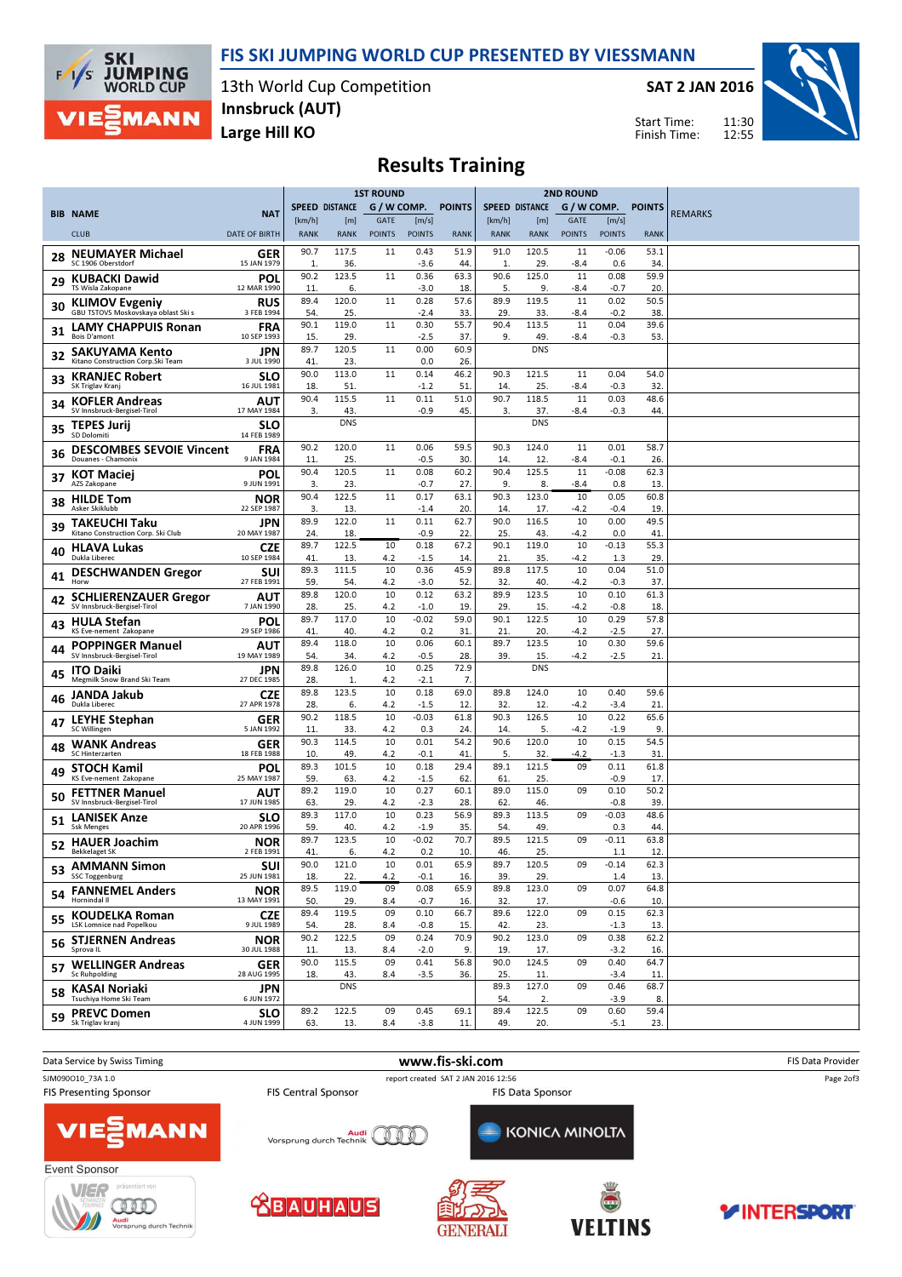## FIS SKI JUMPING WORLD CUP PRESENTED BY VIESSMANN



rung durch Tei

13th World Cup Competition Large Hill KO Innsbruck (AUT)

SAT 2 JAN 2016



11:30 Start Time: Finish Time:

# Results Training

|     |                                                              |                           | <b>1ST ROUND</b>      |                    |                       |                        | <b>2ND ROUND</b> |                       |                    |                              |                        |                  |                |
|-----|--------------------------------------------------------------|---------------------------|-----------------------|--------------------|-----------------------|------------------------|------------------|-----------------------|--------------------|------------------------------|------------------------|------------------|----------------|
|     | <b>BIB NAME</b>                                              | <b>NAT</b>                |                       | SPEED DISTANCE     | G / W COMP.           |                        | <b>POINTS</b>    | <b>SPEED DISTANCE</b> |                    |                              |                        | G/W COMP. POINTS | <b>REMARKS</b> |
|     | <b>CLUB</b>                                                  | <b>DATE OF BIRTH</b>      | [km/h]<br><b>RANK</b> | [m]<br><b>RANK</b> | GATE<br><b>POINTS</b> | [m/s]<br><b>POINTS</b> | <b>RANK</b>      | [km/h]<br><b>RANK</b> | [m]<br><b>RANK</b> | <b>GATE</b><br><b>POINTS</b> | [m/s]<br><b>POINTS</b> | <b>RANK</b>      |                |
|     | <b>NEUMAYER Michael</b>                                      | GER                       | 90.7                  | 117.5              | 11                    | 0.43                   | 51.9             | 91.0                  | 120.5              | 11                           | $-0.06$                | 53.1             |                |
| 28  | SC 1906 Oberstdorf                                           | 15 JAN 1979               | 1.                    | 36.                |                       | $-3.6$                 | 44               | 1.                    | 29.                | -8.4                         | 0.6                    | 34               |                |
| 29  | <b>KUBACKI Dawid</b><br>TS Wisla Zakopane                    | POL<br>12 MAR 1990        | 90.2<br>11            | 123.5<br>6.        | 11                    | 0.36<br>-3.0           | 63.3<br>18       | 90.6<br>5.            | 125.0<br>9.        | 11<br>-8.4                   | 0.08<br>$-0.7$         | 59.9<br>20       |                |
| 30  | <b>KLIMOV Evgeniy</b><br>GBU TSTOVS Moskovskaya oblast Ski s | RUS<br>3 FEB 1994         | 89.4<br>54.           | 120.0<br>25.       | 11                    | 0.28<br>$-2.4$         | 57.6<br>33       | 89.9<br>29.           | 119.5<br>33.       | 11<br>-8.4                   | 0.02<br>$-0.2$         | 50.5<br>38       |                |
| 31  | <b>LAMY CHAPPUIS Ronan</b>                                   | <b>FRA</b>                | 90.1                  | 119.0              | 11                    | 0.30                   | 55.7             | 90.4                  | 113.5              | 11                           | 0.04                   | 39.6             |                |
|     | <b>Bois D'amont</b><br><b>SAKUYAMA Kento</b>                 | 10 SEP 1993<br>JPN        | 15<br>89.7            | 29.<br>120.5       | 11                    | $-2.5$<br>0.00         | 37<br>60.9       | 9.                    | 49.<br><b>DNS</b>  | -8.4                         | $-0.3$                 | 53               |                |
| 32  | Kitano Construction Corp.Ski Team                            | 3 JUL 1990                | 41                    | 23.<br>113.0       | 11                    | 0.0                    | 26<br>46.2       |                       | 121.5              |                              |                        |                  |                |
| 33  | <b>KRANJEC Robert</b><br>SK Triglav Kranj                    | <b>SLO</b><br>16 JUL 1981 | 90.0<br>18.           | 51.                |                       | 0.14<br>$-1.2$         | 51               | 90.3<br>14.           | 25.                | 11<br>-8.4                   | 0.04<br>$-0.3$         | 54.0<br>32       |                |
| 34  | <b>KOFLER Andreas</b><br>SV Innsbruck-Bergisel-Tirol         | AUT<br>17 MAY 1984        | 90.4<br>3.            | 115.5<br>43.       | 11                    | 0.11<br>-0.9           | 51.0<br>45.      | 90.7<br>3.            | 118.5<br>37.       | 11<br>-8.4                   | 0.03<br>$-0.3$         | 48.6<br>44       |                |
| 35  | <b>TEPES Jurij</b><br><b>SD Dolomiti</b>                     | <b>SLO</b><br>14 FEB 1989 |                       | <b>DNS</b>         |                       |                        |                  |                       | <b>DNS</b>         |                              |                        |                  |                |
| 36  | <b>DESCOMBES SEVOIE Vincent</b>                              | FRA                       | 90.2                  | 120.0              | 11                    | 0.06                   | 59.5             | 90.3                  | 124.0              | 11                           | 0.01                   | 58.7             |                |
|     | Douanes - Chamonix<br><b>KOT Maciej</b>                      | 9 JAN 1984<br>POL         | 11<br>90.4            | 25.<br>120.5       | 11                    | $-0.5$<br>0.08         | 30.<br>60.2      | 14.<br>90.4           | 12.<br>125.5       | -8.4<br>11                   | $-0.1$<br>$-0.08$      | 26<br>62.3       |                |
| 37  | AZS Zakopane                                                 | 9 JUN 1991                | 3.                    | 23.                |                       | $-0.7$                 | 27               | 9.                    | 8.                 | -8.4                         | 0.8                    | 13               |                |
| 38  | <b>HILDE Tom</b><br>Asker Skiklubb                           | NOR<br>22 SEP 1987        | 90.4<br>3.            | 122.5<br>13.       | 11                    | 0.17<br>$-1.4$         | 63.1<br>20.      | 90.3<br>14.           | 123.0<br>17.       | 10<br>-4.2                   | 0.05<br>$-0.4$         | 60.8<br>19       |                |
| 39  | TAKEUCHI Taku<br>Kitano Construction Corp. Ski Club          | JPN<br>20 MAY 1987        | 89.9<br>24.           | 122.0<br>18.       | 11                    | 0.11<br>$-0.9$         | 62.7<br>22       | 90.0<br>25.           | 116.5<br>43.       | 10<br>-4.2                   | 0.00<br>0.0            | 49.5<br>41       |                |
| 40  | <b>HLAVA Lukas</b>                                           | CZE                       | 89.7                  | 122.5              | 10                    | 0.18                   | 67.2             | 90.1                  | 119.0              | 10                           | $-0.13$                | 55.3             |                |
|     | Dukla Liberec<br><b>DESCHWANDEN Gregor</b>                   | 10 SEP 1984<br>SUI        | 41<br>89.3            | 13.<br>111.5       | 4.2<br>10             | $-1.5$<br>0.36         | 14.<br>45.9      | 21.<br>89.8           | 35.<br>117.5       | $-4.2$<br>10                 | 1.3<br>0.04            | 29<br>51.0       |                |
| 41  | Horw                                                         | 27 FEB 1991               | 59.<br>89.8           | 54.<br>120.0       | 4.2<br>10             | $-3.0$<br>0.12         | 52<br>63.2       | 32.<br>89.9           | 40.<br>123.5       | -4.2<br>10                   | $-0.3$<br>0.10         | 37<br>61.3       |                |
| 42  | <b>SCHLIERENZAUER Gregor</b><br>SV Innsbruck-Bergisel-Tirol  | AUT<br>7 JAN 1990         | 28.                   | 25.                | 4.2                   | $-1.0$                 | 19               | 29.                   | 15.                | -4.2                         | $-0.8$                 | 18               |                |
| 43  | <b>HULA Stefan</b><br>KS Eve-nement Zakopane                 | POL<br>29 SEP 1986        | 89.7<br>41.           | 117.0<br>40.       | 10<br>4.2             | $-0.02$<br>0.2         | 59.0<br>31       | 90.1<br>21.           | 122.5<br>20.       | 10<br>-4.2                   | 0.29<br>-2.5           | 57.8<br>27.      |                |
| 44  | <b>POPPINGER Manuel</b><br>SV Innsbruck-Bergisel-Tirol       | AUT<br>19 MAY 1989        | 89.4<br>54.           | 118.0<br>34.       | 10<br>4.2             | 0.06<br>$-0.5$         | 60.1<br>28.      | 89.7<br>39.           | 123.5<br>15.       | 10<br>$-4.2$                 | 0.30<br>$-2.5$         | 59.6<br>21.      |                |
| 45  | <b>ITO Daiki</b>                                             | JPN                       | 89.8                  | 126.0              | 10                    | 0.25                   | 72.9             |                       | <b>DNS</b>         |                              |                        |                  |                |
|     | Megmilk Snow Brand Ski Team<br>JANDA Jakub                   | 27 DEC 1985<br>CZE        | 28<br>89.8            | 1.<br>123.5        | 4.2<br>10             | -2.1<br>0.18           | 7.<br>69.0       | 89.8                  | 124.0              | 10                           | 0.40                   | 59.6             |                |
| 46  | Dukla Liberec                                                | 27 APR 1978               | 28.<br>90.2           | 6.<br>118.5        | 4.2<br>10             | $-1.5$<br>$-0.03$      | 12.<br>61.8      | 32.<br>90.3           | 12.<br>126.5       | -4.2<br>10                   | $-3.4$<br>0.22         | 21               |                |
| 47  | <b>LEYHE Stephan</b><br>SC Willingen                         | GER<br>5 JAN 1992         | 11.                   | 33.                | 4.2                   | 0.3                    | 24               | 14.                   | 5.                 | -4.2                         | $-1.9$                 | 65.6<br>9        |                |
| 48  | <b>WANK Andreas</b><br><b>SC Hinterzarten</b>                | GER<br>18 FEB 1988        | 90.3<br>10            | 114.5<br>49.       | 10<br>4.2             | 0.01<br>-0.1           | 54.2<br>41       | 90.6<br>5.            | 120.0<br>32.       | 10<br>-4.2                   | 0.15<br>$-1.3$         | 54.5<br>31       |                |
| 49  | <b>STOCH Kamil</b><br>KS Eve-nement Zakopane                 | POL<br>25 MAY 1987        | 89.3<br>59            | 101.5<br>63.       | 10                    | 0.18                   | 29.4<br>62       | 89.1<br>61            | 121.5<br>25.       | 09                           | 0.11<br>$-0.9$         | 61.8             |                |
| 50  | <b>FETTNER Manuel</b>                                        | AUT                       | 89.2                  | 119.0              | 4.2<br>10             | $-1.5$<br>0.27         | 60.1             | 89.0                  | 115.0              | 09                           | 0.10                   | 17<br>50.2       |                |
|     | SV Innsbruck-Bergisel-Tirol<br><b>LANISEK Anze</b>           | 17 JUN 1985<br><b>SLO</b> | 63.<br>89.3           | 29.<br>117.0       | 4.2<br>10             | $-2.3$<br>0.23         | 28.<br>56.9      | 62.<br>89.3           | 46.<br>113.5       | 09                           | $-0.8$<br>$-0.03$      | 39<br>48.6       |                |
| 51  | <b>Ssk Menges</b>                                            | 20 APR 1996               | 59<br>89.7            | 40.<br>123.5       | 4.2<br>10             | $-1.9$<br>$-0.02$      | 35.<br>70.7      | 54.<br>89.5           | 49.<br>121.5       | 09                           | 0.3<br>$-0.11$         | 44<br>63.8       |                |
| 52  | <b>HAUER Joachim</b><br><b>Bekkelaget SK</b>                 | <b>NOR</b><br>2 FEB 1991  | 41                    | 6.                 | 4.2                   | 0.2                    | 10.              | 46.                   | 25.                |                              | 1.1                    | 12               |                |
| 53. | <b>AMMANN Simon</b><br><b>SSC Toggenburg</b>                 | SUI<br>25 JUN 1981        | 90.0<br>18.           | 121.0<br>22.       | 10<br>4.2             | 0.01<br>$-0.1$         | 65.9<br>16.      | 89.7<br>39.           | 120.5<br>29.       | 09                           | $-0.14$<br>1.4         | 62.3<br>13.      |                |
|     | 54 FANNEMEL Anders<br>Hornindal II                           | <b>NOR</b><br>13 MAY 1991 | 89.5<br>50.           | 119.0<br>29.       | 09<br>8.4             | 0.08<br>$-0.7$         | 65.9<br>16.      | 89.8<br>32.           | 123.0<br>17.       | 09                           | 0.07<br>$-0.6$         | 64.8<br>10.      |                |
|     | 55 KOUDELKA Roman                                            | <b>CZE</b>                | 89.4                  | 119.5              | 09                    | 0.10                   | 66.7             | 89.6                  | 122.0              | 09                           | 0.15                   | 62.3             |                |
|     | <b>LSK Lomnice nad Popelkou</b><br>56 STJERNEN Andreas       | 9 JUL 1989<br><b>NOR</b>  | 54.<br>90.2           | 28.<br>122.5       | 8.4<br>09             | $-0.8$<br>0.24         | 15.<br>70.9      | 42.<br>90.2           | 23.<br>123.0       | 09                           | $-1.3$<br>0.38         | 13.<br>62.2      |                |
|     | Sprova IL                                                    | 30 JUL 1988               | 11.<br>90.0           | 13.<br>115.5       | 8.4<br>09             | $-2.0$<br>0.41         | 9.<br>56.8       | 19.<br>90.0           | 17.<br>124.5       | 09                           | $-3.2$<br>0.40         | 16.<br>64.7      |                |
|     | 57 WELLINGER Andreas<br>Sc Ruhpolding                        | <b>GER</b><br>28 AUG 1995 | 18.                   | 43.                | 8.4                   | $-3.5$                 | 36.              | 25.                   | 11.                |                              | $-3.4$                 | 11.              |                |
|     | 58 KASAI Noriaki<br>Tsuchiya Home Ski Team                   | <b>JPN</b><br>6 JUN 1972  |                       | <b>DNS</b>         |                       |                        |                  | 89.3<br>54.           | 127.0<br>2.        | 09                           | 0.46<br>$-3.9$         | 68.7<br>8.       |                |
|     | 59 PREVC Domen                                               | <b>SLO</b>                | 89.2                  | 122.5              | 09                    | 0.45                   | 69.1             | 89.4                  | 122.5              | 09                           | 0.60                   | 59.4             |                |
|     | Sk Triglav kranj                                             | 4 JUN 1999                | 63.                   | 13.                | 8.4                   | $-3.8$                 | 11.              | 49.                   | 20.                |                              | $-5.1$                 | 23.              |                |